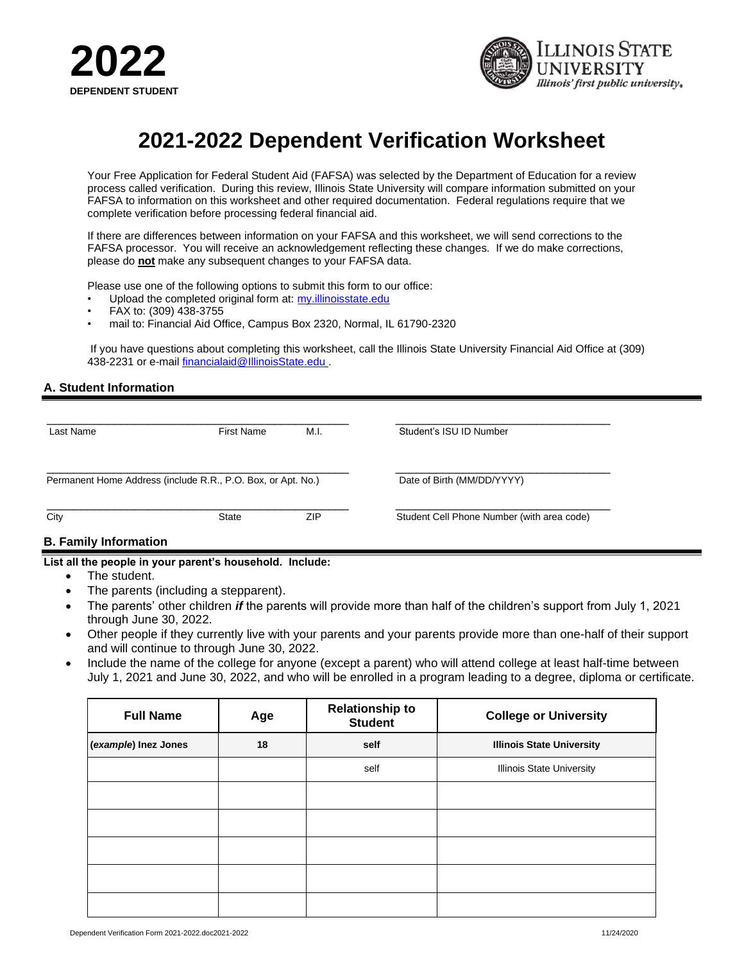



# **2021-2022 Dependent Verification Worksheet**

Your Free Application for Federal Student Aid (FAFSA) was selected by the Department of Education for a review process called verification. During this review, Illinois State University will compare information submitted on your FAFSA to information on this worksheet and other required documentation. Federal regulations require that we complete verification before processing federal financial aid.

If there are differences between information on your FAFSA and this worksheet, we will send corrections to the FAFSA processor. You will receive an acknowledgement reflecting these changes. If we do make corrections, please do **not** make any subsequent changes to your FAFSA data.

Please use one of the following options to submit this form to our office:

- Upload the completed original form at[: my.illinoisstate.edu](my.illinoisstate.edu)
- FAX to: (309) 438-3755
- mail to: Financial Aid Office, Campus Box 2320, Normal, IL 61790-2320

If you have questions about completing this worksheet, call the Illinois State University Financial Aid Office at (309) 438-2231 or e-mail [financialaid@IllinoisState.edu](mailto:financialaid@IllinoisState.edu) .

#### **A. Student Information**

| Last Name | <b>First Name</b>                                            | M.I. | Student's ISU ID Number                    |
|-----------|--------------------------------------------------------------|------|--------------------------------------------|
|           | Permanent Home Address (include R.R., P.O. Box, or Apt. No.) |      | Date of Birth (MM/DD/YYYY)                 |
| City      | State                                                        | ZIP  | Student Cell Phone Number (with area code) |

#### **B. Family Information**

#### **List all the people in your parent's household. Include:**

- The student.
- The parents (including a stepparent).
- The parents' other children *if* the parents will provide more than half of the children's support from July 1, 2021 through June 30, 2022.
- Other people if they currently live with your parents and your parents provide more than one-half of their support and will continue to through June 30, 2022.
- Include the name of the college for anyone (except a parent) who will attend college at least half-time between July 1, 2021 and June 30, 2022, and who will be enrolled in a program leading to a degree, diploma or certificate.

| <b>Full Name</b>     | Age | <b>Relationship to</b><br><b>Student</b> | <b>College or University</b>     |
|----------------------|-----|------------------------------------------|----------------------------------|
| (example) Inez Jones | 18  | self                                     | <b>Illinois State University</b> |
|                      |     | self                                     | <b>Illinois State University</b> |
|                      |     |                                          |                                  |
|                      |     |                                          |                                  |
|                      |     |                                          |                                  |
|                      |     |                                          |                                  |
|                      |     |                                          |                                  |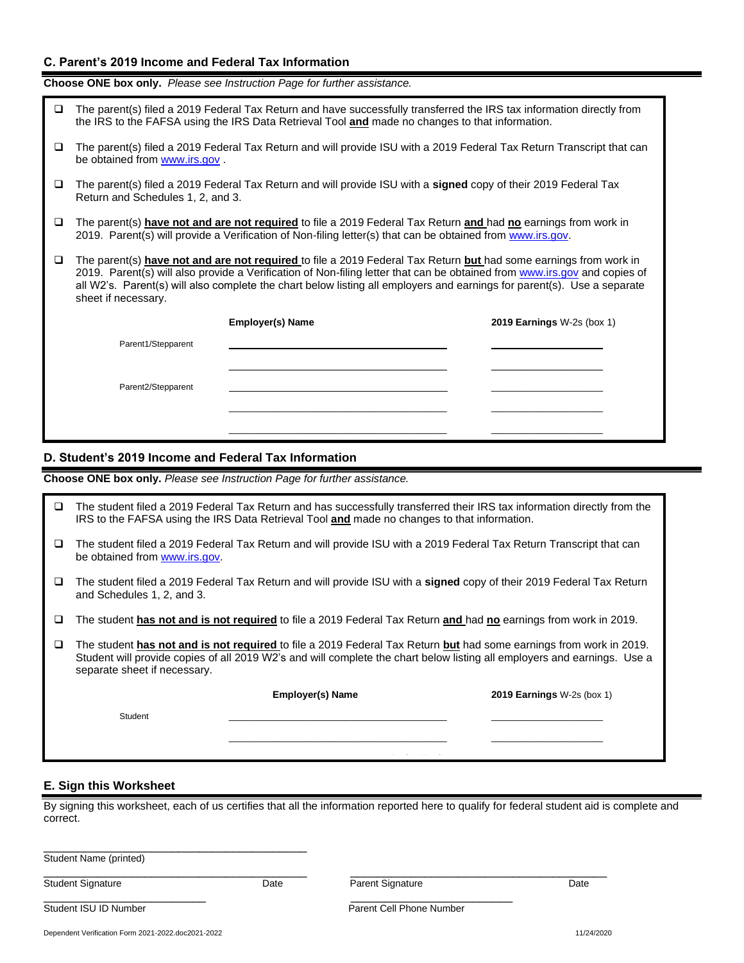#### **C. Parent's 2019 Income and Federal Tax Information**

**Choose ONE box only.** *Please see Instruction Page for further assistance.*

| □ | The parent(s) filed a 2019 Federal Tax Return and have successfully transferred the IRS tax information directly from<br>the IRS to the FAFSA using the IRS Data Retrieval Tool and made no changes to that information.                                                                                                                                                                        |                         |                                   |  |  |
|---|-------------------------------------------------------------------------------------------------------------------------------------------------------------------------------------------------------------------------------------------------------------------------------------------------------------------------------------------------------------------------------------------------|-------------------------|-----------------------------------|--|--|
| □ | The parent(s) filed a 2019 Federal Tax Return and will provide ISU with a 2019 Federal Tax Return Transcript that can<br>be obtained from www.irs.gov.                                                                                                                                                                                                                                          |                         |                                   |  |  |
| □ | The parent(s) filed a 2019 Federal Tax Return and will provide ISU with a <b>signed</b> copy of their 2019 Federal Tax<br>Return and Schedules 1, 2, and 3.                                                                                                                                                                                                                                     |                         |                                   |  |  |
| o | The parent(s) have not and are not required to file a 2019 Federal Tax Return and had no earnings from work in<br>2019. Parent(s) will provide a Verification of Non-filing letter(s) that can be obtained from www.irs.gov.                                                                                                                                                                    |                         |                                   |  |  |
| □ | The parent(s) have not and are not required to file a 2019 Federal Tax Return but had some earnings from work in<br>2019. Parent(s) will also provide a Verification of Non-filing letter that can be obtained from www.irs.gov and copies of<br>all W2's. Parent(s) will also complete the chart below listing all employers and earnings for parent(s). Use a separate<br>sheet if necessary. |                         |                                   |  |  |
|   |                                                                                                                                                                                                                                                                                                                                                                                                 | <b>Employer(s) Name</b> | <b>2019 Earnings W-2s (box 1)</b> |  |  |
|   | Parent1/Stepparent                                                                                                                                                                                                                                                                                                                                                                              |                         |                                   |  |  |
|   |                                                                                                                                                                                                                                                                                                                                                                                                 |                         |                                   |  |  |
|   | Parent2/Stepparent                                                                                                                                                                                                                                                                                                                                                                              |                         |                                   |  |  |
|   |                                                                                                                                                                                                                                                                                                                                                                                                 |                         |                                   |  |  |
|   |                                                                                                                                                                                                                                                                                                                                                                                                 |                         |                                   |  |  |

#### **D. Student's 2019 Income and Federal Tax Information**  $\mathcal{L}_{\mathcal{A}}$

**Choose ONE box only.** *Please see Instruction Page for further assistance.*

| ப | The student filed a 2019 Federal Tax Return and has successfully transferred their IRS tax information directly from the<br>IRS to the FAFSA using the IRS Data Retrieval Tool and made no changes to that information.                                                        |                                                                                                                      |                            |  |  |
|---|--------------------------------------------------------------------------------------------------------------------------------------------------------------------------------------------------------------------------------------------------------------------------------|----------------------------------------------------------------------------------------------------------------------|----------------------------|--|--|
| ш | be obtained from www.irs.gov.                                                                                                                                                                                                                                                  | The student filed a 2019 Federal Tax Return and will provide ISU with a 2019 Federal Tax Return Transcript that can  |                            |  |  |
| ⊔ | and Schedules 1, 2, and 3.                                                                                                                                                                                                                                                     | The student filed a 2019 Federal Tax Return and will provide ISU with a signed copy of their 2019 Federal Tax Return |                            |  |  |
|   | The student has not and is not required to file a 2019 Federal Tax Return and had no earnings from work in 2019.                                                                                                                                                               |                                                                                                                      |                            |  |  |
| ⊔ | The student has not and is not required to file a 2019 Federal Tax Return but had some earnings from work in 2019.<br>Student will provide copies of all 2019 W2's and will complete the chart below listing all employers and earnings. Use a<br>separate sheet if necessary. |                                                                                                                      |                            |  |  |
|   |                                                                                                                                                                                                                                                                                | <b>Employer(s) Name</b>                                                                                              | 2019 Earnings W-2s (box 1) |  |  |
|   | Student                                                                                                                                                                                                                                                                        |                                                                                                                      |                            |  |  |
|   |                                                                                                                                                                                                                                                                                |                                                                                                                      |                            |  |  |

# **E. Sign this Worksheet**

By signing this worksheet, each of us certifies that all the information reported here to qualify for federal student aid is complete and correct.

| Student Name (printed)   |      |                          |      |
|--------------------------|------|--------------------------|------|
| <b>Student Signature</b> | Date | <b>Parent Signature</b>  | Date |
| Student ISU ID Number    |      | Parent Cell Phone Number |      |

Dependent Verification Form 2021-2022.doc2021-2022 11/24/2020